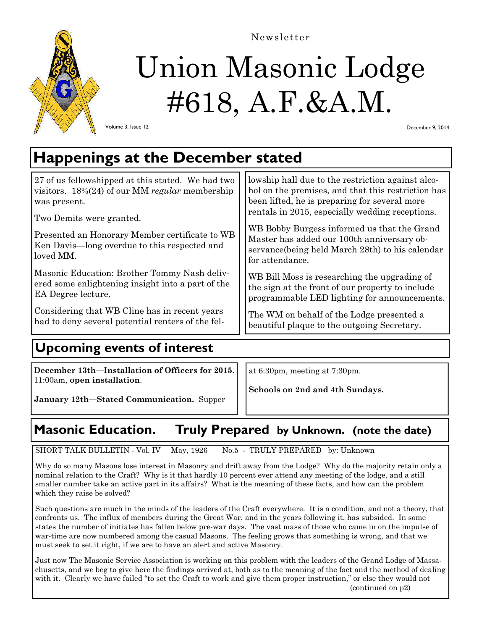

Newsletter

# Union Masonic Lodge #618, A.F.&A.M.

Volume 3, Issue 12

December 9, 2014

## **Happenings at the December stated**

| 27 of us fellowshipped at this stated. We had two<br>visitors. $18\%(24)$ of our MM regular membership<br>was present.<br>Two Demits were granted.<br>Presented an Honorary Member certificate to WB<br>Ken Davis—long overdue to this respected and<br>loved MM. | lowship hall due to the restriction against alco-<br>hol on the premises, and that this restriction has<br>been lifted, he is preparing for several more<br>rentals in 2015, especially wedding receptions.<br>WB Bobby Burgess informed us that the Grand<br>Master has added our 100th anniversary ob-<br>servance (being held March 28th) to his calendar<br>for attendance. |
|-------------------------------------------------------------------------------------------------------------------------------------------------------------------------------------------------------------------------------------------------------------------|---------------------------------------------------------------------------------------------------------------------------------------------------------------------------------------------------------------------------------------------------------------------------------------------------------------------------------------------------------------------------------|
| Masonic Education: Brother Tommy Nash deliv-                                                                                                                                                                                                                      | WB Bill Moss is researching the upgrading of                                                                                                                                                                                                                                                                                                                                    |
| ered some enlightening insight into a part of the                                                                                                                                                                                                                 | the sign at the front of our property to include                                                                                                                                                                                                                                                                                                                                |
| EA Degree lecture.                                                                                                                                                                                                                                                | programmable LED lighting for announcements.                                                                                                                                                                                                                                                                                                                                    |
| Considering that WB Cline has in recent years                                                                                                                                                                                                                     | The WM on behalf of the Lodge presented a                                                                                                                                                                                                                                                                                                                                       |
| had to deny several potential renters of the fel-                                                                                                                                                                                                                 | beautiful plaque to the outgoing Secretary.                                                                                                                                                                                                                                                                                                                                     |

## **Upcoming events of interest**

**December 13th—Installation of Officers for 2015.**  11:00am, **open installation**.

at 6:30pm, meeting at 7:30pm.

**Schools on 2nd and 4th Sundays.** 

**January 12th—Stated Communication.** Supper

## **Masonic Education. Truly Prepared by Unknown. (note the date)**

SHORT TALK BULLETIN - Vol. IV May, 1926 No.5 - TRULY PREPARED by: Unknown

Why do so many Masons lose interest in Masonry and drift away from the Lodge? Why do the majority retain only a nominal relation to the Craft? Why is it that hardly 10 percent ever attend any meeting of the lodge, and a still smaller number take an active part in its affairs? What is the meaning of these facts, and how can the problem which they raise be solved?

Such questions are much in the minds of the leaders of the Craft everywhere. It is a condition, and not a theory, that confronts us. The influx of members during the Great War, and in the years following it, has subsided. In some states the number of initiates has fallen below pre-war days. The vast mass of those who came in on the impulse of war-time are now numbered among the casual Masons. The feeling grows that something is wrong, and that we must seek to set it right, if we are to have an alert and active Masonry.

Just now The Masonic Service Association is working on this problem with the leaders of the Grand Lodge of Massachusetts, and we beg to give here the findings arrived at, both as to the meaning of the fact and the method of dealing with it. Clearly we have failed "to set the Craft to work and give them proper instruction," or else they would not (continued on p2)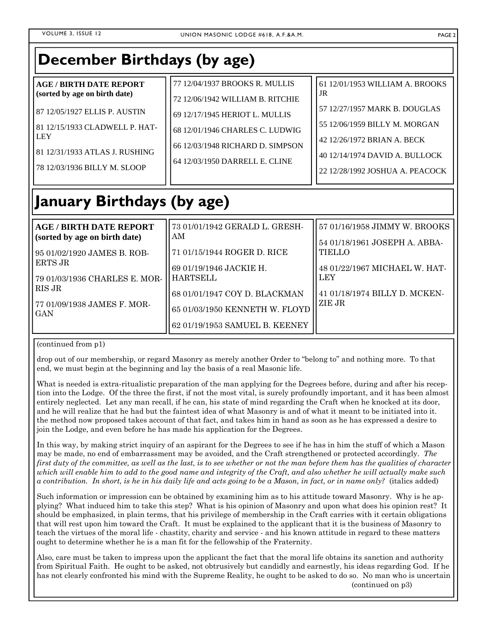| December Birthdays (by age)                                                                                                                                                                                      |                                                                                                                                                                                                               |                                                                                                                                                                                                             |
|------------------------------------------------------------------------------------------------------------------------------------------------------------------------------------------------------------------|---------------------------------------------------------------------------------------------------------------------------------------------------------------------------------------------------------------|-------------------------------------------------------------------------------------------------------------------------------------------------------------------------------------------------------------|
| <b>AGE/BIRTH DATE REPORT</b><br>(sorted by age on birth date)<br>87 12/05/1927 ELLIS P. AUSTIN<br>81 12/15/1933 CLADWELL P. HAT-<br><b>LEY</b><br>81 12/31/1933 ATLAS J. RUSHING<br>78 12/03/1936 BILLY M. SLOOP | 77 12/04/1937 BROOKS R. MULLIS<br>72 12/06/1942 WILLIAM B. RITCHIE<br>69 12/17/1945 HERIOT L. MULLIS<br>68 12/01/1946 CHARLES C. LUDWIG<br>66 12/03/1948 RICHARD D. SIMPSON<br>64 12/03/1950 DARRELL E. CLINE | 61 12/01/1953 WILLIAM A. BROOKS<br>JR<br>57 12/27/1957 MARK B. DOUGLAS<br>55 12/06/1959 BILLY M. MORGAN<br>42 12/26/1972 BRIAN A. BECK<br>40 12/14/1974 DAVID A. BULLOCK<br>22 12/28/1992 JOSHUA A. PEACOCK |
| January Birthdays (by age)                                                                                                                                                                                       |                                                                                                                                                                                                               |                                                                                                                                                                                                             |
| <b>AGE / BIRTH DATE REPORT</b><br>(sorted by age on birth date)<br>95 01/02/1920 JAMES B. ROB-<br><b>ERTS JR</b><br>79 01/03/1936 CHARLES E. MOR-<br><b>RIS JR</b><br>77 01/09/1938 JAMES F. MOR-<br>GAN         | 73 01/01/1942 GERALD L. GRESH-<br>AM<br>71 01/15/1944 ROGER D. RICE<br>69 01/19/1946 JACKIE H.<br><b>HARTSELL</b><br>68 01/01/1947 COY D. BLACKMAN<br>65 01/03/1950 KENNETH W. FLOYD                          | 57 01/16/1958 JIMMY W. BROOKS<br>54 01/18/1961 JOSEPH A. ABBA-<br><b>TIELLO</b><br>48 01/22/1967 MICHAEL W. HAT-<br><b>LEY</b><br>41 01/18/1974 BILLY D. MCKEN-<br>ZIE JR                                   |
|                                                                                                                                                                                                                  | 62 01/19/1953 SAMUEL B. KEENEY                                                                                                                                                                                |                                                                                                                                                                                                             |

(continued from p1)

drop out of our membership, or regard Masonry as merely another Order to "belong to" and nothing more. To that end, we must begin at the beginning and lay the basis of a real Masonic life.

What is needed is extra-ritualistic preparation of the man applying for the Degrees before, during and after his reception into the Lodge. Of the three the first, if not the most vital, is surely profoundly important, and it has been almost entirely neglected. Let any man recall, if he can, his state of mind regarding the Craft when he knocked at its door, and he will realize that he had but the faintest idea of what Masonry is and of what it meant to be initiated into it. the method now proposed takes account of that fact, and takes him in hand as soon as he has expressed a desire to join the Lodge, and even before he has made his application for the Degrees.

In this way, by making strict inquiry of an aspirant for the Degrees to see if he has in him the stuff of which a Mason may be made, no end of embarrassment may be avoided, and the Craft strengthened or protected accordingly. *The first duty of the committee, as well as the last, is to see whether or not the man before them has the qualities of character which will enable him to add to the good name and integrity of the Craft, and also whether he will actually make such a contribution. In short, is he in his daily life and acts going to be a Mason, in fact, or in name only?* (italics added)

Such information or impression can be obtained by examining him as to his attitude toward Masonry. Why is he applying? What induced him to take this step? What is his opinion of Masonry and upon what does his opinion rest? It should be emphasized, in plain terms, that his privilege of membership in the Craft carries with it certain obligations that will rest upon him toward the Craft. It must be explained to the applicant that it is the business of Masonry to teach the virtues of the moral life - chastity, charity and service - and his known attitude in regard to these matters ought to determine whether he is a man fit for the fellowship of the Fraternity.

Also, care must be taken to impress upon the applicant the fact that the moral life obtains its sanction and authority from Spiritual Faith. He ought to be asked, not obtrusively but candidly and earnestly, his ideas regarding God. If he has not clearly confronted his mind with the Supreme Reality, he ought to be asked to do so. No man who is uncertain (continued on p3)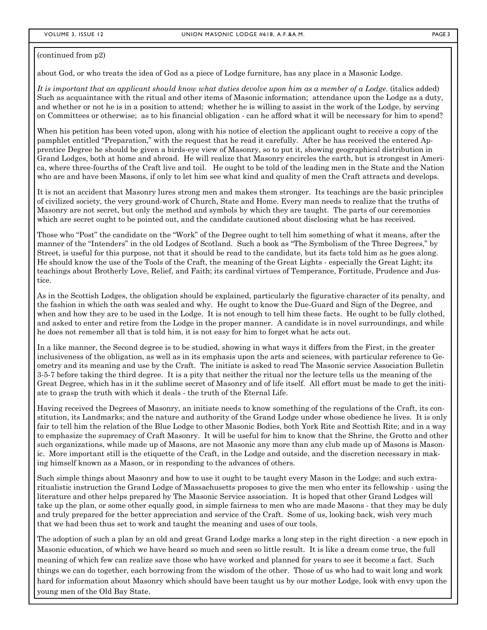#### (continued from p2)

about God, or who treats the idea of God as a piece of Lodge furniture, has any place in a Masonic Lodge.

It is important that an applicant should know what duties devolve upon him as a member of a Lodge. (italics added) Such as acquaintance with the ritual and other items of Masonic information; attendance upon the Lodge as a duty, and whether or not he is in a position to attend; whether he is willing to assist in the work of the Lodge, by serving on Committees or otherwise; as to his financial obligation - can he afford what it will be necessary for him to spend?

When his petition has been voted upon, along with his notice of election the applicant ought to receive a copy of the pamphlet entitled "Preparation," with the request that he read it carefully. After he has received the entered Apprentice Degree he should be given a birds-eye view of Masonry, so to put it, showing geographical distribution in Grand Lodges, both at home and abroad. He will realize that Masonry encircles the earth, but is strongest in America, where three-fourths of the Craft live and toil. He ought to be told of the leading men in the State and the Nation who are and have been Masons, if only to let him see what kind and quality of men the Craft attracts and develops.

It is not an accident that Masonry lures strong men and makes them stronger. Its teachings are the basic principles of civilized society, the very ground-work of Church, State and Home. Every man needs to realize that the truths of Masonry are not secret, but only the method and symbols by which they are taught. The parts of our ceremonies which are secret ought to be pointed out, and the candidate cautioned about disclosing what he has received.

Those who "Post" the candidate on the "Work" of the Degree ought to tell him something of what it means, after the manner of the "Intenders" in the old Lodges of Scotland. Such a book as "The Symbolism of the Three Degrees," by Street, is useful for this purpose, not that it should be read to the candidate, but its facts told him as he goes along. He should know the use of the Tools of the Craft, the meaning of the Great Lights - especially the Great Light; its teachings about Brotherly Love, Relief, and Faith; its cardinal virtues of Temperance, Fortitude, Prudence and Justice.

As in the Scottish Lodges, the obligation should be explained, particularly the figurative character of its penalty, and the fashion in which the oath was sealed and why. He ought to know the Due-Guard and Sign of the Degree, and when and how they are to be used in the Lodge. It is not enough to tell him these facts. He ought to be fully clothed, and asked to enter and retire from the Lodge in the proper manner. A candidate is in novel surroundings, and while he does not remember all that is told him, it is not easy for him to forget what he acts out.

In a like manner, the Second degree is to be studied, showing in what ways it differs from the First, in the greater inclusiveness of the obligation, as well as in its emphasis upon the arts and sciences, with particular reference to Geometry and its meaning and use by the Craft. The initiate is asked to read The Masonic service Association Bulletin 3-5-7 before taking the third degree. It is a pity that neither the ritual nor the lecture tells us the meaning of the Great Degree, which has in it the sublime secret of Masonry and of life itself. All effort must be made to get the initiate to grasp the truth with which it deals - the truth of the Eternal Life.

Having received the Degrees of Masonry, an initiate needs to know something of the regulations of the Craft, its constitution, its Landmarks; and the nature and authority of the Grand Lodge under whose obedience he lives. It is only fair to tell him the relation of the Blue Lodge to other Masonic Bodies, both York Rite and Scottish Rite; and in a way to emphasize the supremacy of Craft Masonry. It will be useful for him to know that the Shrine, the Grotto and other such organizations, while made up of Masons, are not Masonic any more than any club made up of Masons is Masonic. More important still is the etiquette of the Craft, in the Lodge and outside, and the discretion necessary in making himself known as a Mason, or in responding to the advances of others.

Such simple things about Masonry and how to use it ought to be taught every Mason in the Lodge; and such extraritualistic instruction the Grand Lodge of Massachusetts proposes to give the men who enter its fellowship - using the literature and other helps prepared by The Masonic Service association. It is hoped that other Grand Lodges will take up the plan, or some other equally good, in simple fairness to men who are made Masons - that they may be duly and truly prepared for the better appreciation and service of the Craft. Some of us, looking back, wish very much that we had been thus set to work and taught the meaning and uses of our tools.

The adoption of such a plan by an old and great Grand Lodge marks a long step in the right direction - a new epoch in Masonic education, of which we have heard so much and seen so little result. It is like a dream come true, the full meaning of which few can realize save those who have worked and planned for years to see it become a fact. Such things we can do together, each borrowing from the wisdom of the other. Those of us who had to wait long and work hard for information about Masonry which should have been taught us by our mother Lodge, look with envy upon the young men of the Old Bay State.